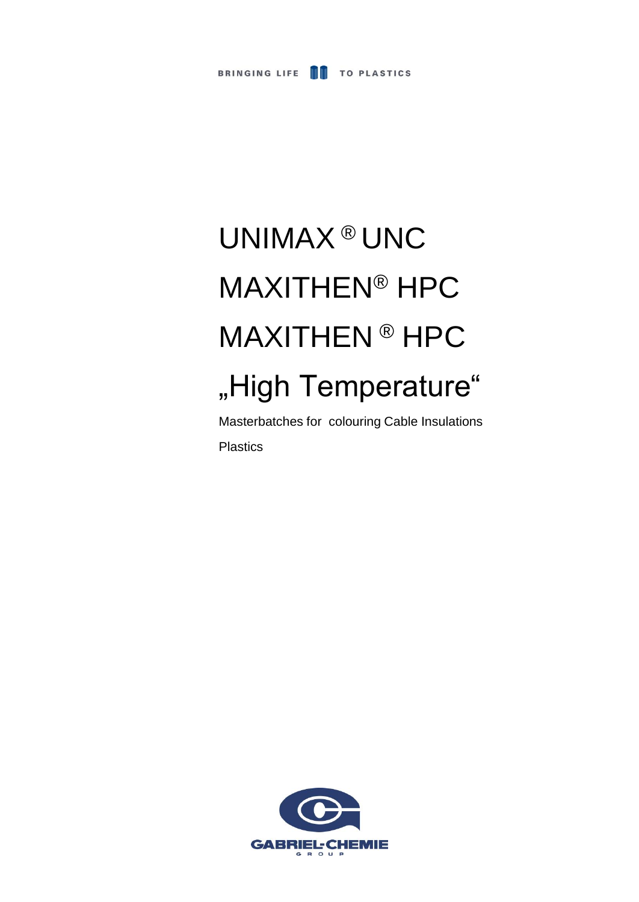

# UNIMAX ® UNC MAXITHEN® HPC MAXITHEN ® HPC "High Temperature"

Masterbatches for colouring Cable Insulations Plastics

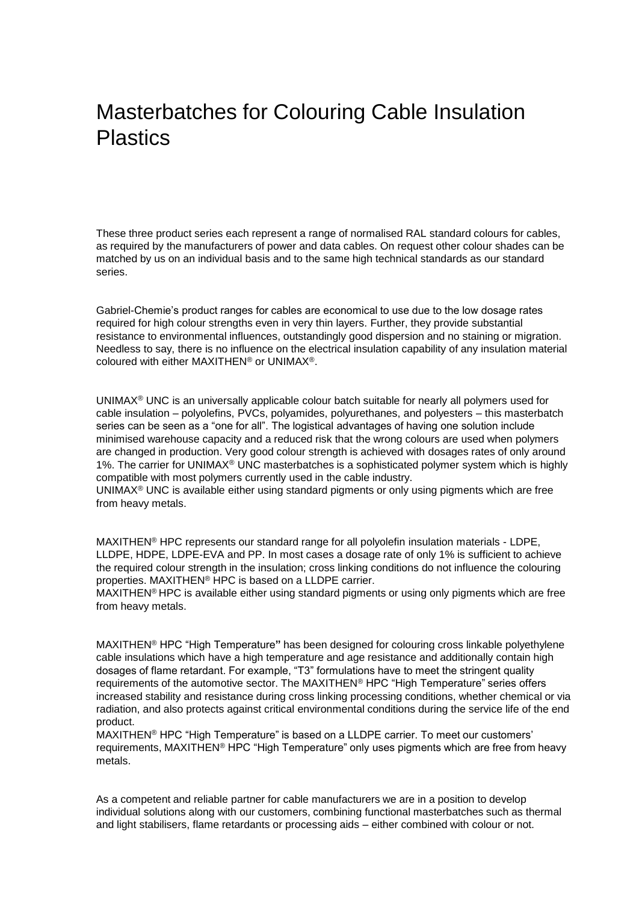### Masterbatches for Colouring Cable Insulation Plastics

These three product series each represent a range of normalised RAL standard colours for cables, as required by the manufacturers of power and data cables. On request other colour shades can be matched by us on an individual basis and to the same high technical standards as our standard series.

Gabriel-Chemie's product ranges for cables are economical to use due to the low dosage rates required for high colour strengths even in very thin layers. Further, they provide substantial resistance to environmental influences, outstandingly good dispersion and no staining or migration. Needless to say, there is no influence on the electrical insulation capability of any insulation material coloured with either MAXITHEN® or UNIMAX®.

UNIMAX® UNC is an universally applicable colour batch suitable for nearly all polymers used for cable insulation – polyolefins, PVCs, polyamides, polyurethanes, and polyesters – this masterbatch series can be seen as a "one for all". The logistical advantages of having one solution include minimised warehouse capacity and a reduced risk that the wrong colours are used when polymers are changed in production. Very good colour strength is achieved with dosages rates of only around 1%. The carrier for UNIMAX<sup>®</sup> UNC masterbatches is a sophisticated polymer system which is highly compatible with most polymers currently used in the cable industry.

UNIMA $X^{\circ}$  UNC is available either using standard pigments or only using pigments which are free from heavy metals.

MAXITHEN® HPC represents our standard range for all polyolefin insulation materials - LDPE, LLDPE, HDPE, LDPE-EVA and PP. In most cases a dosage rate of only 1% is sufficient to achieve the required colour strength in the insulation; cross linking conditions do not influence the colouring properties. MAXITHEN® HPC is based on a LLDPE carrier.

MAXITHEN® HPC is available either using standard pigments or using only pigments which are free from heavy metals.

MAXITHEN® HPC "High Temperature**"** has been designed for colouring cross linkable polyethylene cable insulations which have a high temperature and age resistance and additionally contain high dosages of flame retardant. For example, "T3" formulations have to meet the stringent quality requirements of the automotive sector. The MAXITHEN® HPC "High Temperature" series offers increased stability and resistance during cross linking processing conditions, whether chemical or via radiation, and also protects against critical environmental conditions during the service life of the end product.

MAXITHEN® HPC "High Temperature" is based on a LLDPE carrier. To meet our customers' requirements, MAXITHEN® HPC "High Temperature" only uses pigments which are free from heavy metals.

As a competent and reliable partner for cable manufacturers we are in a position to develop individual solutions along with our customers, combining functional masterbatches such as thermal and light stabilisers, flame retardants or processing aids – either combined with colour or not.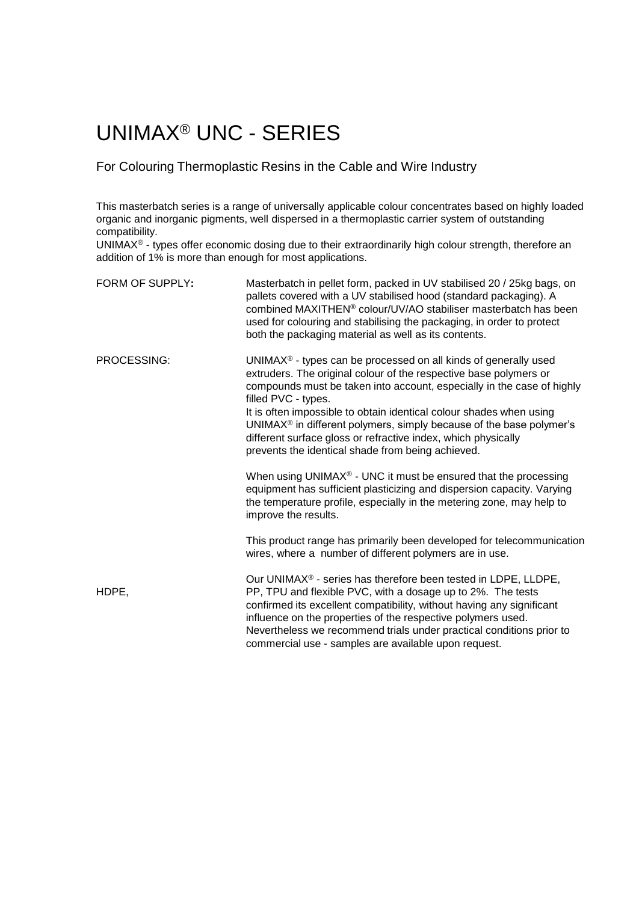## UNIMAX® UNC - SERIES

### For Colouring Thermoplastic Resins in the Cable and Wire Industry

This masterbatch series is a range of universally applicable colour concentrates based on highly loaded organic and inorganic pigments, well dispersed in a thermoplastic carrier system of outstanding compatibility.

UNIMAX® - types offer economic dosing due to their extraordinarily high colour strength, therefore an addition of 1% is more than enough for most applications.

| FORM OF SUPPLY: | Masterbatch in pellet form, packed in UV stabilised 20 / 25kg bags, on<br>pallets covered with a UV stabilised hood (standard packaging). A<br>combined MAXITHEN <sup>®</sup> colour/UV/AO stabiliser masterbatch has been<br>used for colouring and stabilising the packaging, in order to protect<br>both the packaging material as well as its contents.                                                                                                                                                                       |
|-----------------|-----------------------------------------------------------------------------------------------------------------------------------------------------------------------------------------------------------------------------------------------------------------------------------------------------------------------------------------------------------------------------------------------------------------------------------------------------------------------------------------------------------------------------------|
| PROCESSING:     | UNIMAX <sup>®</sup> - types can be processed on all kinds of generally used<br>extruders. The original colour of the respective base polymers or<br>compounds must be taken into account, especially in the case of highly<br>filled PVC - types.<br>It is often impossible to obtain identical colour shades when using<br>UNIMAX <sup>®</sup> in different polymers, simply because of the base polymer's<br>different surface gloss or refractive index, which physically<br>prevents the identical shade from being achieved. |
|                 | When using UNIMAX <sup>®</sup> - UNC it must be ensured that the processing<br>equipment has sufficient plasticizing and dispersion capacity. Varying<br>the temperature profile, especially in the metering zone, may help to<br>improve the results.                                                                                                                                                                                                                                                                            |
|                 | This product range has primarily been developed for telecommunication<br>wires, where a number of different polymers are in use.                                                                                                                                                                                                                                                                                                                                                                                                  |
| HDPE,           | Our UNIMAX® - series has therefore been tested in LDPE, LLDPE,<br>PP, TPU and flexible PVC, with a dosage up to 2%. The tests<br>confirmed its excellent compatibility, without having any significant<br>influence on the properties of the respective polymers used.<br>Nevertheless we recommend trials under practical conditions prior to<br>commercial use - samples are available upon request.                                                                                                                            |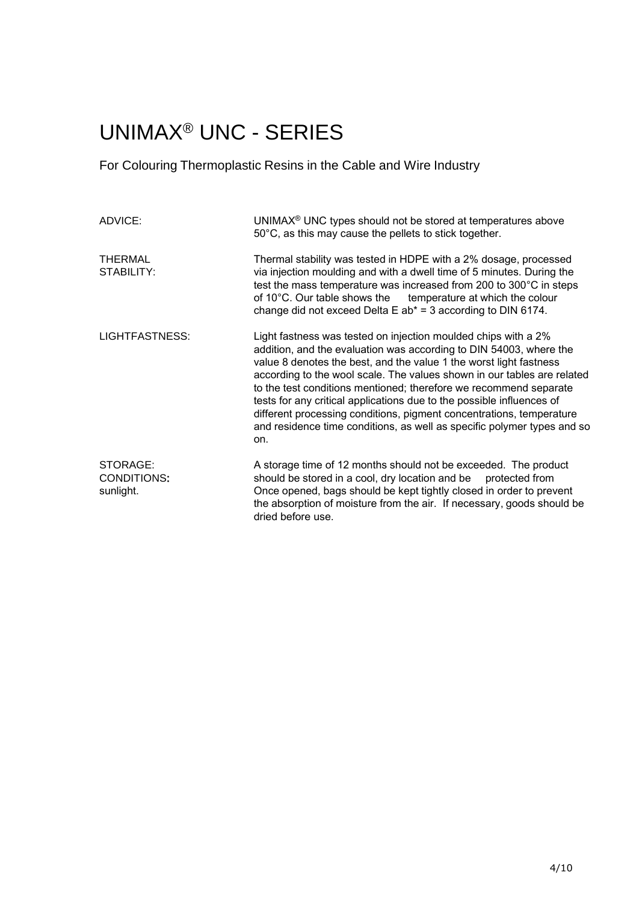### UNIMAX® UNC - SERIES

For Colouring Thermoplastic Resins in the Cable and Wire Industry

| ADVICE:                              | UNIMAX <sup>®</sup> UNC types should not be stored at temperatures above<br>50°C, as this may cause the pellets to stick together.                                                                                                                                                                                                                                                                                                                                                                                                                                                            |
|--------------------------------------|-----------------------------------------------------------------------------------------------------------------------------------------------------------------------------------------------------------------------------------------------------------------------------------------------------------------------------------------------------------------------------------------------------------------------------------------------------------------------------------------------------------------------------------------------------------------------------------------------|
| <b>THERMAL</b><br>STABILITY:         | Thermal stability was tested in HDPE with a 2% dosage, processed<br>via injection moulding and with a dwell time of 5 minutes. During the<br>test the mass temperature was increased from 200 to 300°C in steps<br>of 10°C. Our table shows the temperature at which the colour<br>change did not exceed Delta E $ab^* = 3$ according to DIN 6174.                                                                                                                                                                                                                                            |
| LIGHTFASTNESS:                       | Light fastness was tested on injection moulded chips with a 2%<br>addition, and the evaluation was according to DIN 54003, where the<br>value 8 denotes the best, and the value 1 the worst light fastness<br>according to the wool scale. The values shown in our tables are related<br>to the test conditions mentioned; therefore we recommend separate<br>tests for any critical applications due to the possible influences of<br>different processing conditions, pigment concentrations, temperature<br>and residence time conditions, as well as specific polymer types and so<br>on. |
| STORAGE:<br>CONDITIONS:<br>sunlight. | A storage time of 12 months should not be exceeded. The product<br>should be stored in a cool, dry location and be protected from<br>Once opened, bags should be kept tightly closed in order to prevent<br>the absorption of moisture from the air. If necessary, goods should be<br>dried before use.                                                                                                                                                                                                                                                                                       |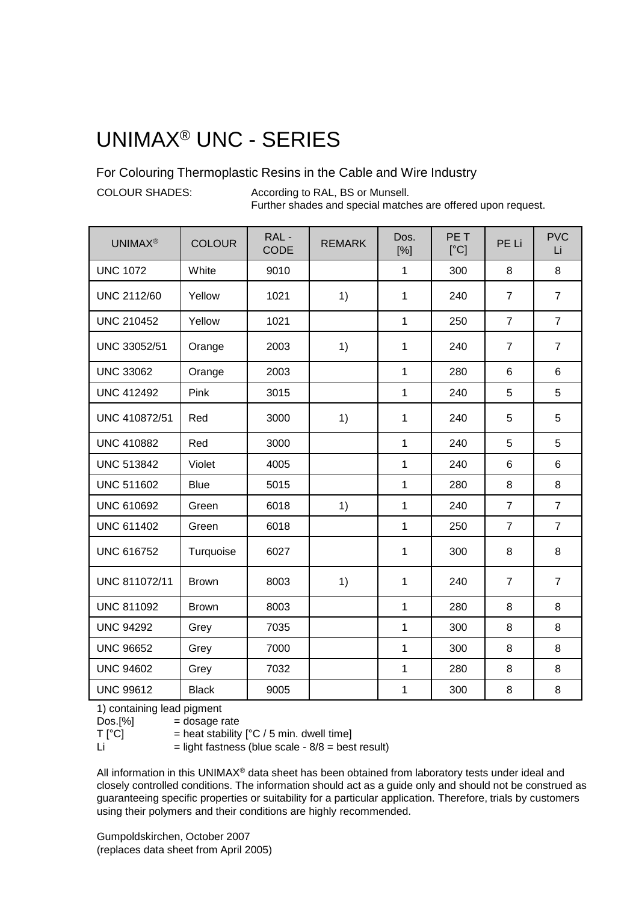### UNIMAX® UNC - SERIES

For Colouring Thermoplastic Resins in the Cable and Wire Industry

COLOUR SHADES: According to RAL, BS or Munsell. Further shades and special matches are offered upon request.

| <b>UNIMAX®</b>     | <b>COLOUR</b> | RAL-<br><b>CODE</b> | <b>REMARK</b> | Dos.<br>[%]  | PE <sub>T</sub><br>[°C] | PE Li          | <b>PVC</b><br>Li |
|--------------------|---------------|---------------------|---------------|--------------|-------------------------|----------------|------------------|
| <b>UNC 1072</b>    | White         | 9010                |               | $\mathbf{1}$ | 300                     | 8              | 8                |
| <b>UNC 2112/60</b> | Yellow        | 1021                | 1)            | 1            | 240                     | $\overline{7}$ | $\overline{7}$   |
| <b>UNC 210452</b>  | Yellow        | 1021                |               | $\mathbf{1}$ | 250                     | $\overline{7}$ | $\overline{7}$   |
| UNC 33052/51       | Orange        | 2003                | 1)            | 1            | 240                     | $\overline{7}$ | $\overline{7}$   |
| <b>UNC 33062</b>   | Orange        | 2003                |               | $\mathbf{1}$ | 280                     | 6              | 6                |
| <b>UNC 412492</b>  | Pink          | 3015                |               | $\mathbf{1}$ | 240                     | 5              | 5                |
| UNC 410872/51      | Red           | 3000                | 1)            | 1            | 240                     | 5              | 5                |
| <b>UNC 410882</b>  | Red           | 3000                |               | $\mathbf{1}$ | 240                     | 5              | 5                |
| <b>UNC 513842</b>  | Violet        | 4005                |               | $\mathbf{1}$ | 240                     | 6              | 6                |
| <b>UNC 511602</b>  | <b>Blue</b>   | 5015                |               | $\mathbf{1}$ | 280                     | 8              | 8                |
| <b>UNC 610692</b>  | Green         | 6018                | 1)            | $\mathbf{1}$ | 240                     | $\overline{7}$ | $\overline{7}$   |
| <b>UNC 611402</b>  | Green         | 6018                |               | $\mathbf{1}$ | 250                     | $\overline{7}$ | $\overline{7}$   |
| <b>UNC 616752</b>  | Turquoise     | 6027                |               | 1            | 300                     | 8              | 8                |
| UNC 811072/11      | <b>Brown</b>  | 8003                | 1)            | 1            | 240                     | $\overline{7}$ | $\overline{7}$   |
| <b>UNC 811092</b>  | <b>Brown</b>  | 8003                |               | $\mathbf{1}$ | 280                     | 8              | 8                |
| <b>UNC 94292</b>   | Grey          | 7035                |               | 1            | 300                     | 8              | 8                |
| <b>UNC 96652</b>   | Grey          | 7000                |               | $\mathbf{1}$ | 300                     | 8              | 8                |
| <b>UNC 94602</b>   | Grey          | 7032                |               | 1            | 280                     | 8              | 8                |
| <b>UNC 99612</b>   | <b>Black</b>  | 9005                |               | $\mathbf{1}$ | 300                     | 8              | 8                |

1) containing lead pigment

 $Dos.[\%]$  = dosage rate<br>  $T[^{\circ}C]$  = heat stability

= heat stability  $[°C / 5$  min. dwell time]

 $Li$  = light fastness (blue scale -  $8/8$  = best result)

All information in this UNIMAX® data sheet has been obtained from laboratory tests under ideal and closely controlled conditions. The information should act as a guide only and should not be construed as guaranteeing specific properties or suitability for a particular application. Therefore, trials by customers using their polymers and their conditions are highly recommended.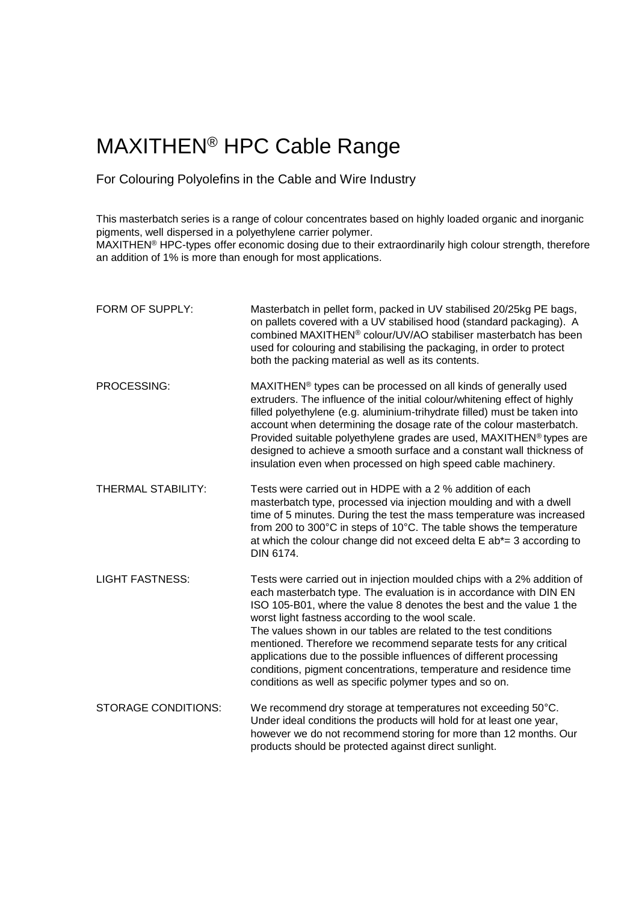### MAXITHEN® HPC Cable Range

### For Colouring Polyolefins in the Cable and Wire Industry

This masterbatch series is a range of colour concentrates based on highly loaded organic and inorganic pigments, well dispersed in a polyethylene carrier polymer. MAXITHEN® HPC-types offer economic dosing due to their extraordinarily high colour strength, therefore an addition of 1% is more than enough for most applications.

| FORM OF SUPPLY:            | Masterbatch in pellet form, packed in UV stabilised 20/25kg PE bags,<br>on pallets covered with a UV stabilised hood (standard packaging). A<br>combined MAXITHEN <sup>®</sup> colour/UV/AO stabiliser masterbatch has been<br>used for colouring and stabilising the packaging, in order to protect<br>both the packing material as well as its contents.                                                                                                                                                                                                                                                                  |
|----------------------------|-----------------------------------------------------------------------------------------------------------------------------------------------------------------------------------------------------------------------------------------------------------------------------------------------------------------------------------------------------------------------------------------------------------------------------------------------------------------------------------------------------------------------------------------------------------------------------------------------------------------------------|
| PROCESSING:                | MAXITHEN <sup>®</sup> types can be processed on all kinds of generally used<br>extruders. The influence of the initial colour/whitening effect of highly<br>filled polyethylene (e.g. aluminium-trihydrate filled) must be taken into<br>account when determining the dosage rate of the colour masterbatch.<br>Provided suitable polyethylene grades are used, MAXITHEN® types are<br>designed to achieve a smooth surface and a constant wall thickness of<br>insulation even when processed on high speed cable machinery.                                                                                               |
| <b>THERMAL STABILITY:</b>  | Tests were carried out in HDPE with a 2 % addition of each<br>masterbatch type, processed via injection moulding and with a dwell<br>time of 5 minutes. During the test the mass temperature was increased<br>from 200 to 300°C in steps of 10°C. The table shows the temperature<br>at which the colour change did not exceed delta $E$ ab*= 3 according to<br>DIN 6174.                                                                                                                                                                                                                                                   |
| <b>LIGHT FASTNESS:</b>     | Tests were carried out in injection moulded chips with a 2% addition of<br>each masterbatch type. The evaluation is in accordance with DIN EN<br>ISO 105-B01, where the value 8 denotes the best and the value 1 the<br>worst light fastness according to the wool scale.<br>The values shown in our tables are related to the test conditions<br>mentioned. Therefore we recommend separate tests for any critical<br>applications due to the possible influences of different processing<br>conditions, pigment concentrations, temperature and residence time<br>conditions as well as specific polymer types and so on. |
| <b>STORAGE CONDITIONS:</b> | We recommend dry storage at temperatures not exceeding 50°C.<br>Under ideal conditions the products will hold for at least one year,<br>however we do not recommend storing for more than 12 months. Our<br>products should be protected against direct sunlight.                                                                                                                                                                                                                                                                                                                                                           |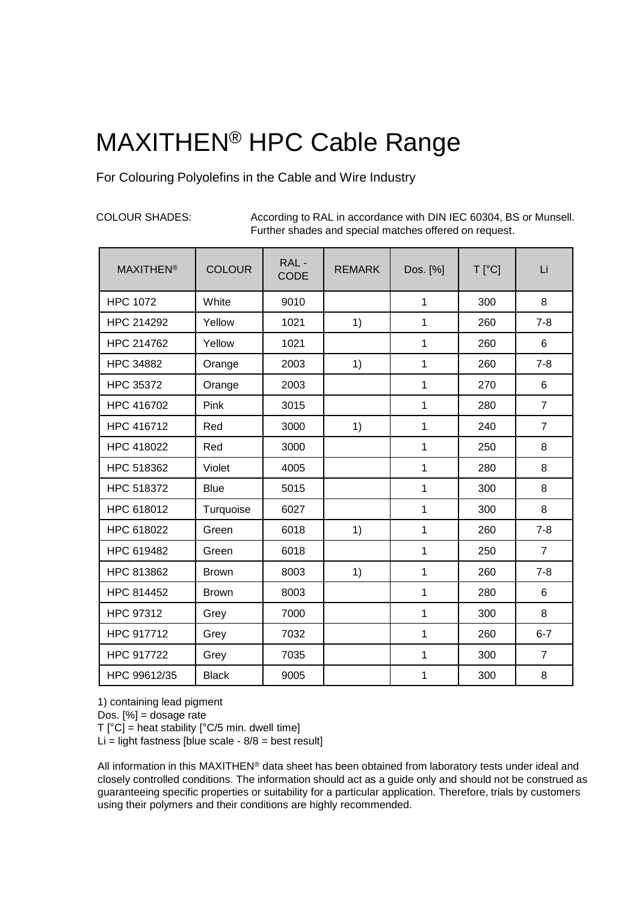# MAXITHEN® HPC Cable Range

For Colouring Polyolefins in the Cable and Wire Industry

COLOUR SHADES: According to RAL in accordance with DIN IEC 60304, BS or Munsell. Further shades and special matches offered on request.

| <b>MAXITHEN<sup>®</sup></b> | <b>COLOUR</b> | RAL-<br><b>CODE</b> | <b>REMARK</b> | Dos. [%]     | $T[^{\circ}C]$ | Li             |
|-----------------------------|---------------|---------------------|---------------|--------------|----------------|----------------|
| <b>HPC 1072</b>             | White         | 9010                |               | $\mathbf{1}$ | 300            | 8              |
| HPC 214292                  | Yellow        | 1021                | 1)            | $\mathbf{1}$ | 260            | $7 - 8$        |
| HPC 214762                  | Yellow        | 1021                |               | 1            | 260            | 6              |
| <b>HPC 34882</b>            | Orange        | 2003                | 1)            | 1            | 260            | $7 - 8$        |
| <b>HPC 35372</b>            | Orange        | 2003                |               | 1            | 270            | 6              |
| HPC 416702                  | Pink          | 3015                |               | 1            | 280            | $\overline{7}$ |
| HPC 416712                  | Red           | 3000                | 1)            | 1            | 240            | $\overline{7}$ |
| HPC 418022                  | Red           | 3000                |               | 1            | 250            | 8              |
| HPC 518362                  | Violet        | 4005                |               | 1            | 280            | 8              |
| HPC 518372                  | <b>Blue</b>   | 5015                |               | 1            | 300            | 8              |
| HPC 618012                  | Turquoise     | 6027                |               | 1            | 300            | 8              |
| HPC 618022                  | Green         | 6018                | 1)            | 1            | 260            | $7 - 8$        |
| HPC 619482                  | Green         | 6018                |               | 1            | 250            | $\overline{7}$ |
| HPC 813862                  | <b>Brown</b>  | 8003                | 1)            | 1            | 260            | $7 - 8$        |
| HPC 814452                  | <b>Brown</b>  | 8003                |               | $\mathbf{1}$ | 280            | 6              |
| HPC 97312                   | Grey          | 7000                |               | 1            | 300            | 8              |
| HPC 917712                  | Grey          | 7032                |               | 1            | 260            | $6 - 7$        |
| HPC 917722                  | Grey          | 7035                |               | 1            | 300            | $\overline{7}$ |
| HPC 99612/35                | <b>Black</b>  | 9005                |               | 1            | 300            | 8              |

1) containing lead pigment

Dos. [%] = dosage rate

 $T[^{\circ}C]$  = heat stability  $[^{\circ}C/5$  min. dwell time]

Li = light fastness [blue scale -  $8/8$  = best result]

All information in this MAXITHEN® data sheet has been obtained from laboratory tests under ideal and closely controlled conditions. The information should act as a guide only and should not be construed as guaranteeing specific properties or suitability for a particular application. Therefore, trials by customers using their polymers and their conditions are highly recommended.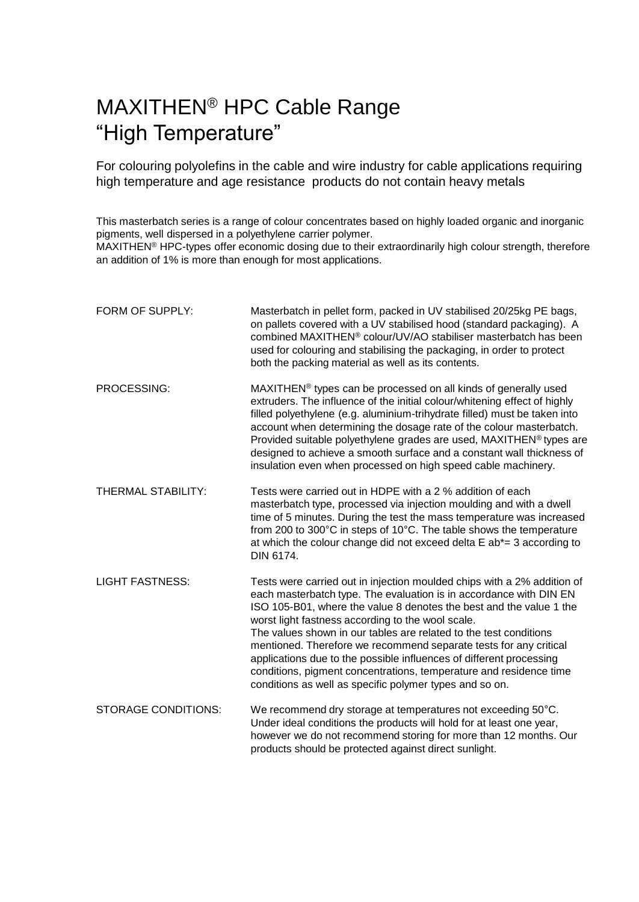### MAXITHEN® HPC Cable Range "High Temperature"

For colouring polyolefins in the cable and wire industry for cable applications requiring high temperature and age resistance products do not contain heavy metals

This masterbatch series is a range of colour concentrates based on highly loaded organic and inorganic pigments, well dispersed in a polyethylene carrier polymer.

MAXITHEN® HPC-types offer economic dosing due to their extraordinarily high colour strength, therefore an addition of 1% is more than enough for most applications.

| FORM OF SUPPLY:            | Masterbatch in pellet form, packed in UV stabilised 20/25kg PE bags,<br>on pallets covered with a UV stabilised hood (standard packaging). A<br>combined MAXITHEN <sup>®</sup> colour/UV/AO stabiliser masterbatch has been<br>used for colouring and stabilising the packaging, in order to protect<br>both the packing material as well as its contents.                                                                                                                                                                                                                                                                  |
|----------------------------|-----------------------------------------------------------------------------------------------------------------------------------------------------------------------------------------------------------------------------------------------------------------------------------------------------------------------------------------------------------------------------------------------------------------------------------------------------------------------------------------------------------------------------------------------------------------------------------------------------------------------------|
| PROCESSING:                | MAXITHEN <sup>®</sup> types can be processed on all kinds of generally used<br>extruders. The influence of the initial colour/whitening effect of highly<br>filled polyethylene (e.g. aluminium-trihydrate filled) must be taken into<br>account when determining the dosage rate of the colour masterbatch.<br>Provided suitable polyethylene grades are used, MAXITHEN® types are<br>designed to achieve a smooth surface and a constant wall thickness of<br>insulation even when processed on high speed cable machinery.                                                                                               |
| THERMAL STABILITY:         | Tests were carried out in HDPE with a 2 % addition of each<br>masterbatch type, processed via injection moulding and with a dwell<br>time of 5 minutes. During the test the mass temperature was increased<br>from 200 to 300°C in steps of 10°C. The table shows the temperature<br>at which the colour change did not exceed delta $E$ ab*= 3 according to<br>DIN 6174.                                                                                                                                                                                                                                                   |
| <b>LIGHT FASTNESS:</b>     | Tests were carried out in injection moulded chips with a 2% addition of<br>each masterbatch type. The evaluation is in accordance with DIN EN<br>ISO 105-B01, where the value 8 denotes the best and the value 1 the<br>worst light fastness according to the wool scale.<br>The values shown in our tables are related to the test conditions<br>mentioned. Therefore we recommend separate tests for any critical<br>applications due to the possible influences of different processing<br>conditions, pigment concentrations, temperature and residence time<br>conditions as well as specific polymer types and so on. |
| <b>STORAGE CONDITIONS:</b> | We recommend dry storage at temperatures not exceeding 50°C.<br>Under ideal conditions the products will hold for at least one year,<br>however we do not recommend storing for more than 12 months. Our<br>products should be protected against direct sunlight.                                                                                                                                                                                                                                                                                                                                                           |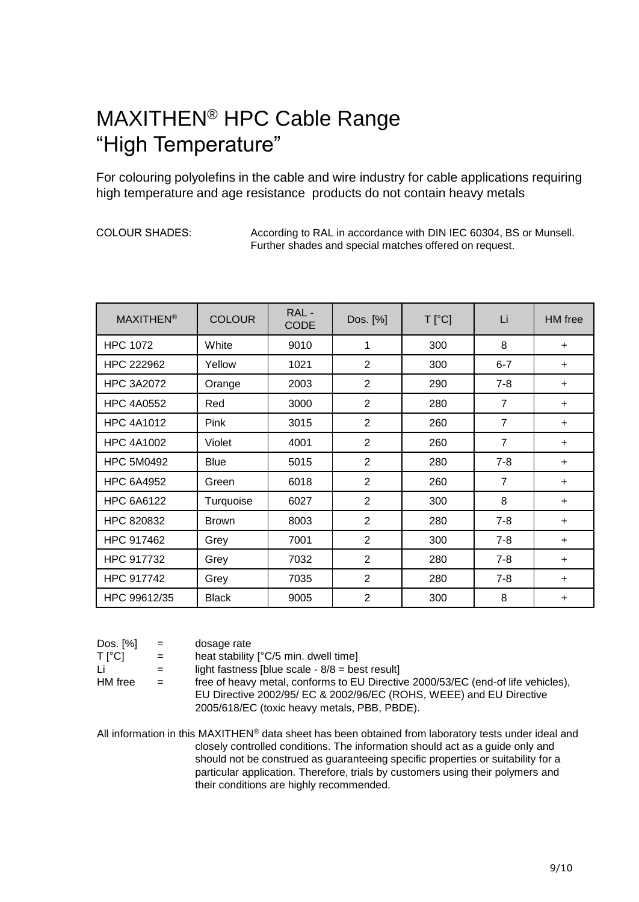### MAXITHEN® HPC Cable Range "High Temperature"

For colouring polyolefins in the cable and wire industry for cable applications requiring high temperature and age resistance products do not contain heavy metals

COLOUR SHADES: According to RAL in accordance with DIN IEC 60304, BS or Munsell. Further shades and special matches offered on request.

| <b>MAXITHEN<sup>®</sup></b> | <b>COLOUR</b> | RAL-<br><b>CODE</b> | Dos. [%]       | $T[^{\circ}C]$ | Li             | HM free   |
|-----------------------------|---------------|---------------------|----------------|----------------|----------------|-----------|
| <b>HPC 1072</b>             | White         | 9010                | 1              | 300            | 8              | $\ddot{}$ |
| HPC 222962                  | Yellow        | 1021                | $\overline{2}$ | 300            | $6 - 7$        | $\ddot{}$ |
| <b>HPC 3A2072</b>           | Orange        | 2003                | $\overline{2}$ | 290            | $7 - 8$        | $\ddot{}$ |
| <b>HPC 4A0552</b>           | Red           | 3000                | 2              | 280            | $\overline{7}$ | $\ddot{}$ |
| <b>HPC 4A1012</b>           | <b>Pink</b>   | 3015                | $\overline{2}$ | 260            | $\overline{7}$ | $\ddot{}$ |
| <b>HPC 4A1002</b>           | Violet        | 4001                | 2              | 260            | $\overline{7}$ | $\ddot{}$ |
| <b>HPC 5M0492</b>           | <b>Blue</b>   | 5015                | 2              | 280            | $7 - 8$        | $\ddot{}$ |
| <b>HPC 6A4952</b>           | Green         | 6018                | 2              | 260            | $\overline{7}$ | $\ddot{}$ |
| <b>HPC 6A6122</b>           | Turquoise     | 6027                | 2              | 300            | 8              | $\ddot{}$ |
| HPC 820832                  | <b>Brown</b>  | 8003                | $\overline{2}$ | 280            | $7 - 8$        | ÷         |
| HPC 917462                  | Grey          | 7001                | 2              | 300            | $7 - 8$        | $\ddot{}$ |
| HPC 917732                  | Grey          | 7032                | 2              | 280            | $7 - 8$        | $\ddot{}$ |
| HPC 917742                  | Grey          | 7035                | $\overline{2}$ | 280            | $7 - 8$        | $\ddot{}$ |
| HPC 99612/35                | <b>Black</b>  | 9005                | $\overline{2}$ | 300            | 8              | $\ddot{}$ |

| Dos. [%] |  | dosage rate |
|----------|--|-------------|
|----------|--|-------------|

 $T[^{\circ}C]$  = heat stability  $[^{\circ}C/5$  min. dwell time]

Li  $=$  light fastness [blue scale -  $8/8$  = best result]

HM free  $=$  free of heavy metal, conforms to EU Directive 2000/53/EC (end-of life vehicles), EU Directive 2002/95/ EC & 2002/96/EC (ROHS, WEEE) and EU Directive 2005/618/EC (toxic heavy metals, PBB, PBDE).

All information in this MAXITHEN® data sheet has been obtained from laboratory tests under ideal and closely controlled conditions. The information should act as a guide only and should not be construed as guaranteeing specific properties or suitability for a particular application. Therefore, trials by customers using their polymers and their conditions are highly recommended.